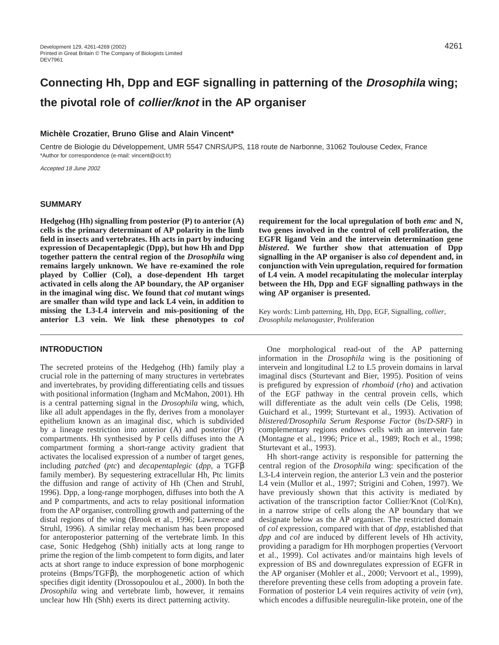# **Connecting Hh, Dpp and EGF signalling in patterning of the Drosophila wing; the pivotal role of collier/knot in the AP organiser**

## **Michèle Crozatier, Bruno Glise and Alain Vincent\***

Centre de Biologie du Développement, UMR 5547 CNRS/UPS, 118 route de Narbonne, 31062 Toulouse Cedex, France \*Author for correspondence (e-mail: vincent@cict.fr)

Accepted 18 June 2002

#### **SUMMARY**

**Hedgehog (Hh) signalling from posterior (P) to anterior (A) cells is the primary determinant of AP polarity in the limb field in insects and vertebrates. Hh acts in part by inducing expression of Decapentaplegic (Dpp), but how Hh and Dpp together pattern the central region of the** *Drosophila* **wing remains largely unknown. We have re-examined the role played by Collier (Col), a dose-dependent Hh target activated in cells along the AP boundary, the AP organiser in the imaginal wing disc. We found that** *col* **mutant wings are smaller than wild type and lack L4 vein, in addition to missing the L3-L4 intervein and mis-positioning of the anterior L3 vein. We link these phenotypes to** *col*

#### **INTRODUCTION**

The secreted proteins of the Hedgehog (Hh) family play a crucial role in the patterning of many structures in vertebrates and invertebrates, by providing differentiating cells and tissues with positional information (Ingham and McMahon, 2001). Hh is a central patterning signal in the *Drosophila* wing, which, like all adult appendages in the fly, derives from a monolayer epithelium known as an imaginal disc, which is subdivided by a lineage restriction into anterior (A) and posterior (P) compartments. Hh synthesised by P cells diffuses into the A compartment forming a short-range activity gradient that activates the localised expression of a number of target genes, including *patched* (*ptc*) and *decapentaplegic* (*dpp*, a TGFβ family member). By sequestering extracellular Hh, Ptc limits the diffusion and range of activity of Hh (Chen and Struhl, 1996). Dpp, a long-range morphogen, diffuses into both the A and P compartments, and acts to relay positional information from the AP organiser, controlling growth and patterning of the distal regions of the wing (Brook et al., 1996; Lawrence and Struhl, 1996). A similar relay mechanism has been proposed for anteroposterior patterning of the vertebrate limb. In this case, Sonic Hedgehog (Shh) initially acts at long range to prime the region of the limb competent to form digits, and later acts at short range to induce expression of bone morphogenic proteins (Bmps/TGFβ), the morphogenetic action of which specifies digit identity (Drossopoulou et al., 2000). In both the *Drosophila* wing and vertebrate limb, however, it remains unclear how Hh (Shh) exerts its direct patterning activity.

**requirement for the local upregulation of both** *emc* **and N, two genes involved in the control of cell proliferation, the EGFR ligand Vein and the intervein determination gene** *blistered***. We further show that attenuation of Dpp signalling in the AP organiser is also** *col* **dependent and, in conjunction with Vein upregulation, required for formation of L4 vein. A model recapitulating the molecular interplay between the Hh, Dpp and EGF signalling pathways in the wing AP organiser is presented.**

Key words: Limb patterning, Hh, Dpp, EGF, Signalling, *collier*, *Drosophila melanogaster*, Proliferation

One morphological read-out of the AP patterning information in the *Drosophila* wing is the positioning of intervein and longitudinal L2 to L5 provein domains in larval imaginal discs (Sturtevant and Bier, 1995). Position of veins is prefigured by expression of *rhomboid* (*rho*) and activation of the EGF pathway in the central provein cells, which will differentiate as the adult vein cells (De Celis, 1998; Guichard et al., 1999; Sturtevant et al., 1993). Activation of *blistered/Drosophila Serum Response Factor* (*bs*/*D-SRF*) in complementary regions endows cells with an intervein fate (Montagne et al., 1996; Price et al., 1989; Roch et al., 1998; Sturtevant et al., 1993).

Hh short-range activity is responsible for patterning the central region of the *Drosophila* wing: specification of the L3-L4 intervein region, the anterior L3 vein and the posterior L4 vein (Mullor et al., 1997; Strigini and Cohen, 1997). We have previously shown that this activity is mediated by activation of the transcription factor Collier/Knot (Col/Kn), in a narrow stripe of cells along the AP boundary that we designate below as the AP organiser. The restricted domain of *col* expression, compared with that of *dpp*, established that *dpp* and *col* are induced by different levels of Hh activity, providing a paradigm for Hh morphogen properties (Vervoort et al., 1999). Col activates and/or maintains high levels of expression of BS and downregulates expression of EGFR in the AP organiser (Mohler et al., 2000; Vervoort et al., 1999), therefore preventing these cells from adopting a provein fate. Formation of posterior L4 vein requires activity of *vein* (*vn*), which encodes a diffusible neuregulin-like protein, one of the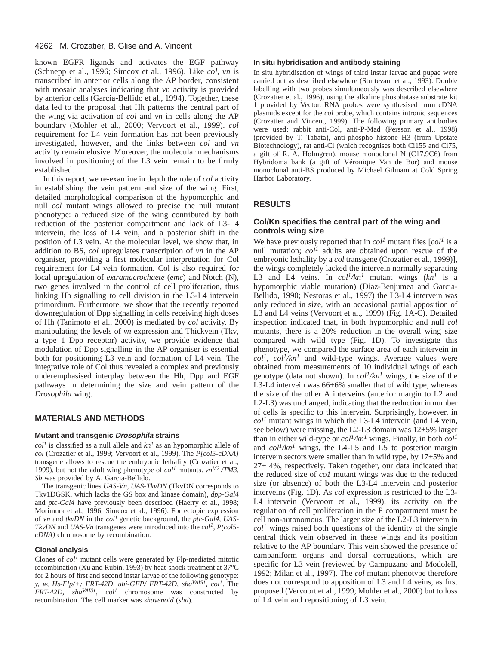#### 4262 M. Crozatier, B. Glise and A. Vincent

known EGFR ligands and activates the EGF pathway (Schnepp et al., 1996; Simcox et al., 1996). Like *col*, *vn* is transcribed in anterior cells along the AP border, consistent with mosaic analyses indicating that *vn* activity is provided by anterior cells (Garcia-Bellido et al., 1994). Together, these data led to the proposal that Hh patterns the central part of the wing via activation of *col* and *vn* in cells along the AP boundary (Mohler et al., 2000; Vervoort et al., 1999). *col* requirement for L4 vein formation has not been previously investigated, however, and the links between *col* and *vn* activity remain elusive. Moreover, the molecular mechanisms involved in positioning of the L3 vein remain to be firmly established.

In this report, we re-examine in depth the role of *col* activity in establishing the vein pattern and size of the wing. First, detailed morphological comparison of the hypomorphic and null *col* mutant wings allowed to precise the null mutant phenotype: a reduced size of the wing contributed by both reduction of the posterior compartment and lack of L3-L4 intervein, the loss of L4 vein, and a posterior shift in the position of L3 vein. At the molecular level, we show that, in addition to BS, *col* upregulates transcription of *vn* in the AP organiser, providing a first molecular interpretation for Col requirement for L4 vein formation. Col is also required for local upregulation of *extramacrochaete* (*emc*) and Notch (N), two genes involved in the control of cell proliferation, thus linking Hh signalling to cell division in the L3-L4 intervein primordium. Furthermore, we show that the recently reported downregulation of Dpp signalling in cells receiving high doses of Hh (Tanimoto et al., 2000) is mediated by *col* activity. By manipulating the levels of *vn* expression and Thickvein (Tkv*,* a type 1 Dpp receptor) activity, we provide evidence that modulation of Dpp signalling in the AP organiser is essential both for positioning L3 vein and formation of L4 vein. The integrative role of Col thus revealed a complex and previously underemphasised interplay between the Hh, Dpp and EGF pathways in determining the size and vein pattern of the *Drosophila* wing.

#### **MATERIALS AND METHODS**

#### **Mutant and transgenic Drosophila strains**

 $col<sup>1</sup>$  is classified as a null allele and  $kn<sup>1</sup>$  as an hypomorphic allele of *col* (Crozatier et al., 1999; Vervoort et al., 1999). The *P[col5-cDNA]* transgene allows to rescue the embryonic lethality (Crozatier et al., 1999), but not the adult wing phenotype of *col<sup>1</sup>* mutants. *vnM2 /TM3, Sb* was provided by A. Garcia-Bellido.

The transgenic lines *UAS-Vn*, *UAS-TkvDN* (TkvDN corresponds to Tkv1DGSK, which lacks the GS box and kinase domain), *dpp-Gal4* and *ptc-Gal4* have previously been described (Haerry et al., 1998; Morimura et al., 1996; Simcox et al., 1996). For ectopic expression of *vn* and *tkvDN* in the *col<sup>1</sup>* genetic background, the *ptc-Gal4*, *UAS-TkvDN* and *UAS-Vn* transgenes were introduced into the *col1, P(col5 cDNA)* chromosome by recombination.

#### **Clonal analysis**

Clones of *col<sup>1</sup>* mutant cells were generated by Flp-mediated mitotic recombination (Xu and Rubin, 1993) by heat-shock treatment at 37°C for 2 hours of first and second instar larvae of the following genotype: *y, w, Hs-Flp/+; FRT-42D, ubi-GFP/ FRT-42D, shaVAIS1, col1*. The *FRT-42D*, *shaVAIS1*, *col<sup>1</sup>* chromosome was constructed by recombination. The cell marker was *shavenoid* (*sha*)*.*

#### **In situ hybridisation and antibody staining**

In situ hybridisation of wings of third instar larvae and pupae were carried out as described elsewhere (Sturtevant et al., 1993). Double labelling with two probes simultaneously was described elsewhere (Crozatier et al., 1996), using the alkaline phosphatase substrate kit 1 provided by Vector. RNA probes were synthesised from cDNA plasmids except for the *col* probe, which contains intronic sequences (Crozatier and Vincent, 1999). The following primary antibodies were used: rabbit anti-Col, anti-P-Mad (Persson et al., 1998) (provided by T. Tabata), anti-phospho histone H3 (from Upstate Biotechnology), rat anti-Ci (which recognises both Ci155 and Ci75, a gift of R. A. Holmgren), mouse monoclonal N (C17.9C6) from Hybridoma bank (a gift of Véronique Van de Bor) and mouse monoclonal anti-BS produced by Michael Gilmam at Cold Spring Harbor Laboratory.

#### **RESULTS**

#### **Col/Kn specifies the central part of the wing and controls wing size**

We have previously reported that in  $col<sup>1</sup>$  mutant flies  $[col<sup>1</sup>$  is a null mutation; *col<sup>1</sup>* adults are obtained upon rescue of the embryonic lethality by a *col* transgene (Crozatier et al., 1999)], the wings completely lacked the intervein normally separating L3 and L4 veins. In  $col^1/kn^1$  mutant wings  $(kn^1)$  is a hypomorphic viable mutation) (Diaz-Benjumea and Garcia-Bellido, 1990; Nestoras et al., 1997) the L3-L4 intervein was only reduced in size, with an occasional partial apposition of L3 and L4 veins (Vervoort et al., 1999) (Fig. 1A-C). Detailed inspection indicated that, in both hypomorphic and null *col* mutants, there is a 20% reduction in the overall wing size compared with wild type (Fig. 1D). To investigate this phenotype, we compared the surface area of each intervein in  $col<sup>1</sup>$ ,  $col<sup>1</sup>/kn<sup>1</sup>$  and wild-type wings. Average values were obtained from measurements of 10 individual wings of each genotype (data not shown). In *col1/kn1* wings, the size of the L3-L4 intervein was 66±6% smaller that of wild type, whereas the size of the other A interveins (anterior margin to L2 and L2-L3) was unchanged, indicating that the reduction in number of cells is specific to this intervein. Surprisingly, however, in  $col<sup>1</sup>$  mutant wings in which the L3-L4 intervein (and L4 vein, see below) were missing, the L2-L3 domain was 12±5% larger than in either wild-type or *col1/kn1* wings. Finally, in both *col<sup>1</sup>* and  $col^1/kn^1$  wings, the L4-L5 and L5 to posterior margin intervein sectors were smaller than in wild type, by  $17±5%$  and  $27±4\%$ , respectively. Taken together, our data indicated that the reduced size of *co1* mutant wings was due to the reduced size (or absence) of both the L3-L4 intervein and posterior interveins (Fig. 1D). As *col* expression is restricted to the L3- L4 intervein (Vervoort et al., 1999), its activity on the regulation of cell proliferation in the P compartment must be cell non-autonomous. The larger size of the L2-L3 intervein in  $col<sup>1</sup>$  wings raised both questions of the identity of the single central thick vein observed in these wings and its position relative to the AP boundary. This vein showed the presence of campaniform organs and dorsal corrugations, which are specific for L3 vein (reviewed by Campuzano and Modolell, 1992; Milan et al., 1997). The *col* mutant phenotype therefore does not correspond to apposition of L3 and L4 veins, as first proposed (Vervoort et al., 1999; Mohler et al., 2000) but to loss of L4 vein and repositioning of L3 vein.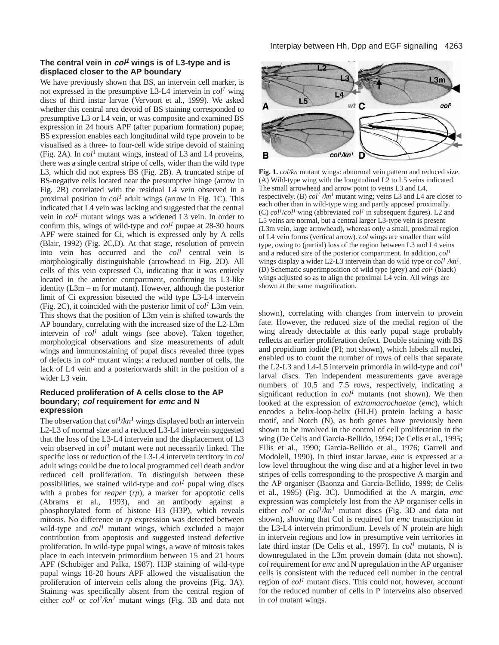# **The central vein in col<sup>1</sup> wings is of L3-type and is displaced closer to the AP boundary**

We have previously shown that BS, an intervein cell marker, is not expressed in the presumptive L3-L4 intervein in  $col<sup>1</sup>$  wing discs of third instar larvae (Vervoort et al., 1999). We asked whether this central area devoid of BS staining corresponded to presumptive L3 or L4 vein, or was composite and examined BS expression in 24 hours APF (after puparium formation) pupae; BS expression enables each longitudinal wild type provein to be visualised as a three- to four-cell wide stripe devoid of staining (Fig. 2A). In *col*<sup>1</sup> mutant wings, instead of L3 and L4 proveins, there was a single central stripe of cells, wider than the wild type L3, which did not express BS (Fig. 2B). A truncated stripe of BS-negative cells located near the presumptive hinge (arrow in Fig. 2B) correlated with the residual L4 vein observed in a proximal position in *col1* adult wings (arrow in Fig. 1C). This indicated that L4 vein was lacking and suggested that the central vein in *col1* mutant wings was a widened L3 vein. In order to confirm this, wings of wild-type and  $col<sup>1</sup>$  pupae at 28-30 hours APF were stained for Ci, which is expressed only by A cells (Blair, 1992) (Fig. 2C,D). At that stage, resolution of provein into vein has occurred and the  $col<sup>1</sup>$  central vein is morphologically distinguishable (arrowhead in Fig. 2D). All cells of this vein expressed Ci, indicating that it was entirely located in the anterior compartment, confirming its L3-like identity (L3m – m for mutant). However, although the posterior limit of Ci expression bisected the wild type L3-L4 intervein (Fig. 2C), it coincided with the posterior limit of  $\text{col}^1$  L3m vein. This shows that the position of L3m vein is shifted towards the AP boundary, correlating with the increased size of the L2-L3m intervein of *col1* adult wings (see above). Taken together, morphological observations and size measurements of adult wings and immunostaining of pupal discs revealed three types of defects in  $col<sup>1</sup>$  mutant wings: a reduced number of cells, the lack of L4 vein and a posteriorwards shift in the position of a wider L3 vein.

# **Reduced proliferation of A cells close to the AP boundary; col requirement for emc and N expression**

The observation that  $col^1/kn^1$  wings displayed both an intervein L2-L3 of normal size and a reduced L3-L4 intervein suggested that the loss of the L3-L4 intervein and the displacement of L3 vein observed in *col<sup>1</sup>* mutant were not necessarily linked*.* The specific loss or reduction of the L3-L4 intervein territory in *col* adult wings could be due to local programmed cell death and/or reduced cell proliferation. To distinguish between these possibilities, we stained wild-type and *col<sup>1</sup>* pupal wing discs with a probes for *reaper* (*rp*)*,* a marker for apoptotic cells (Abrams et al., 1993), and an antibody against a phosphorylated form of histone H3 (H3P), which reveals mitosis. No difference in *rp* expression was detected between wild-type and *col<sup>1</sup>* mutant wings, which excluded a major contribution from apoptosis and suggested instead defective proliferation. In wild-type pupal wings, a wave of mitosis takes place in each intervein primordium between 15 and 21 hours APF (Schubiger and Palka, 1987). H3P staining of wild-type pupal wings 18-20 hours APF allowed the visualisation the proliferation of intervein cells along the proveins (Fig. 3A). Staining was specifically absent from the central region of either *col<sup>1</sup>* or *col1/kn1* mutant wings (Fig. 3B and data not



**Fig. 1.** *col/kn* mutant wings: abnormal vein pattern and reduced size. (A) Wild-type wing with the longitudinal L2 to L5 veins indicated. The small arrowhead and arrow point to veins L3 and L4, respectively. (B)  $col^1/kn^1$  mutant wing; veins L3 and L4 are closer to each other than in wild-type wing and partly apposed proximally. (C)  $col^1$ /*col*<sup>1</sup> wing (abbreviated  $col^1$  in subsequent figures). L2 and L5 veins are normal, but a central larger L3-type vein is present (L3m vein, large arrowhead), whereas only a small, proximal region of L4 vein forms (vertical arrow). *col* wings are smaller than wild type, owing to (partial) loss of the region between L3 and L4 veins and a reduced size of the posterior compartment. In addition, *col<sup>1</sup>* wings display a wider L2-L3 intervein than do wild type or *col<sup>1</sup> /kn1*. (D) Schematic superimposition of wild type (grey) and *col<sup>1</sup>* (black) wings adjusted so as to align the proximal L4 vein. All wings are shown at the same magnification.

shown), correlating with changes from intervein to provein fate. However, the reduced size of the medial region of the wing already detectable at this early pupal stage probably reflects an earlier proliferation defect. Double staining with BS and propidium iodide (PI; not shown), which labels all nuclei, enabled us to count the number of rows of cells that separate the L2-L3 and L4-L5 intervein primordia in wild-type and *col<sup>1</sup>* larval discs. Ten independent measurements gave average numbers of 10.5 and 7.5 rows, respectively, indicating a significant reduction in *col<sup>1</sup>* mutants (not shown). We then looked at the expression of *extramacrochaetae* (*emc*), which encodes a helix-loop-helix (HLH) protein lacking a basic motif, and Notch (N), as both genes have previously been shown to be involved in the control of cell proliferation in the wing (De Celis and Garcia-Bellido, 1994; De Celis et al., 1995; Ellis et al., 1990; Garcia-Bellido et al., 1976; Garrell and Modolell, 1990). In third instar larvae, *emc* is expressed at a low level throughout the wing disc and at a higher level in two stripes of cells corresponding to the prospective A margin and the AP organiser (Baonza and Garcia-Bellido, 1999; de Celis et al., 1995) (Fig. 3C). Unmodified at the A margin, *emc* expression was completely lost from the AP organiser cells in either  $col^1$  or  $col^1/kn^1$  mutant discs (Fig. 3D and data not shown), showing that Col is required for *emc* transcription in the L3-L4 intervein primordium. Levels of N protein are high in intervein regions and low in presumptive vein territories in late third instar (De Celis et al., 1997). In *col<sup>1</sup>* mutants, N is downregulated in the L3m provein domain (data not shown). *col* requirement for *emc* and N upregulation in the AP organiser cells is consistent with the reduced cell number in the central region of *col<sup>1</sup>* mutant discs. This could not, however, account for the reduced number of cells in P interveins also observed in *col* mutant wings.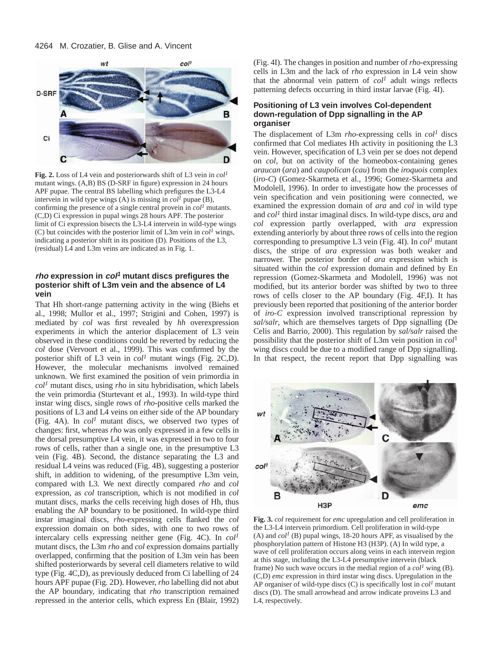#### 4264 M. Crozatier, B. Glise and A. Vincent



**Fig. 2.** Loss of L4 vein and posteriorwards shift of L3 vein in *col<sup>1</sup>* mutant wings. (A,B) BS (D-SRF in figure) expression in 24 hours APF pupae. The central BS labelling which prefigures the L3-L4 intervein in wild type wings (A) is missing in  $col<sup>1</sup>$  pupae (B), confirming the presence of a single central provein in *col<sup>1</sup>* mutants. (C,D) Ci expression in pupal wings 28 hours APF. The posterior limit of Ci expression bisects the L3-L4 intervein in wild-type wings (C) but coincides with the posterior limit of L3m vein in  $col<sup>1</sup>$  wings, indicating a posterior shift in its position (D). Positions of the L3, (residual) L4 and L3m veins are indicated as in Fig. 1.

## **rho expression in col<sup>1</sup> mutant discs prefigures the posterior shift of L3m vein and the absence of L4 vein**

That Hh short-range patterning activity in the wing (Biehs et al., 1998; Mullor et al., 1997; Strigini and Cohen, 1997) is mediated by *col* was first revealed by *hh* overexpression experiments in which the anterior displacement of L3 vein observed in these conditions could be reverted by reducing the *col* dose (Vervoort et al., 1999). This was confirmed by the posterior shift of L3 vein in *col1* mutant wings (Fig. 2C,D). However, the molecular mechanisms involved remained unknown. We first examined the position of vein primordia in *col1* mutant discs, using *rho* in situ hybridisation, which labels the vein primordia (Sturtevant et al., 1993). In wild-type third instar wing discs, single rows of *rho*-positive cells marked the positions of L3 and L4 veins on either side of the AP boundary (Fig. 4A). In  $col<sup>1</sup>$  mutant discs, we observed two types of changes: first, whereas *rho* was only expressed in a few cells in the dorsal presumptive L4 vein, it was expressed in two to four rows of cells, rather than a single one, in the presumptive L3 vein (Fig. 4B). Second, the distance separating the L3 and residual L4 veins was reduced (Fig. 4B), suggesting a posterior shift, in addition to widening, of the presumptive L3m vein, compared with L3. We next directly compared *rho* and *col* expression, as *col* transcription, which is not modified in *col* mutant discs, marks the cells receiving high doses of Hh, thus enabling the AP boundary to be positioned. In wild-type third instar imaginal discs, *rho*-expressing cells flanked the *col* expression domain on both sides, with one to two rows of intercalary cells expressing neither gene (Fig. 4C). In *col1* mutant discs, the L3m *rho* and *col* expression domains partially overlapped, confirming that the position of L3m vein has been shifted posteriorwards by several cell diameters relative to wild type (Fig. 4C,D), as previously deduced from Ci labelling of 24 hours APF pupae (Fig. 2D). However, *rho* labelling did not abut the AP boundary, indicating that *rho* transcription remained repressed in the anterior cells, which express En (Blair, 1992)

(Fig. 4I). The changes in position and number of *rho-*expressing cells in L3m and the lack of *rho* expression in L4 vein show that the abnormal vein pattern of  $col<sup>1</sup>$  adult wings reflects patterning defects occurring in third instar larvae (Fig. 4I).

## **Positioning of L3 vein involves Col-dependent down-regulation of Dpp signalling in the AP organiser**

The displacement of L3m *rho*-expressing cells in *col<sup>1</sup>* discs confirmed that Col mediates Hh activity in positioning the L3 vein. However, specification of L3 vein per se does not depend on *col,* but on activity of the homeobox-containing genes *araucan* (*ara*) and *caupolican* (*cau*) from the *iroquois* complex (*iro-C*) (Gomez-Skarmeta et al., 1996; Gomez-Skarmeta and Modolell, 1996). In order to investigate how the processes of vein specification and vein positioning were connected, we examined the expression domain of *ara* and *col* in wild type and *col1* third instar imaginal discs. In wild-type discs, *ara* and *col* expression partly overlapped, with *ara* expression extending anteriorly by about three rows of cells into the region corresponding to presumptive L3 vein (Fig. 4I). In *col<sup>1</sup>* mutant discs, the stripe of *ara* expression was both weaker and narrower. The posterior border of *ara* expression which is situated within the *col* expression domain and defined by En repression (Gomez-Skarmeta and Modolell, 1996) was not modified, but its anterior border was shifted by two to three rows of cells closer to the AP boundary (Fig. 4F,I). It has previously been reported that positioning of the anterior border of *iro-C* expression involved transcriptional repression by *sal/salr*, which are themselves targets of Dpp signalling (De Celis and Barrio, 2000). This regulation by *sal/salr* raised the possibility that the posterior shift of L3m vein position in *col*<sup>1</sup> wing discs could be due to a modified range of Dpp signalling. In that respect, the recent report that Dpp signalling was



**Fig. 3.** *col* requirement for *emc* upregulation and cell proliferation in the L3-L4 intervein primordium. Cell proliferation in wild-type (A) and  $col^I$  (B) pupal wings, 18-20 hours APF, as visualised by the phosphorylation pattern of Histone H3 (H3P). (A) In wild type, a wave of cell proliferation occurs along veins in each intervein region at this stage, including the L3-L4 presumptive intervein (black frame) No such wave occurs in the medial region of a  $col<sup>1</sup>$  wing (B). (C,D) *emc* expression in third instar wing discs. Upregulation in the AP organiser of wild-type discs (C) is specifically lost in *col<sup>1</sup>* mutant discs (D). The small arrowhead and arrow indicate proveins L3 and L4, respectively.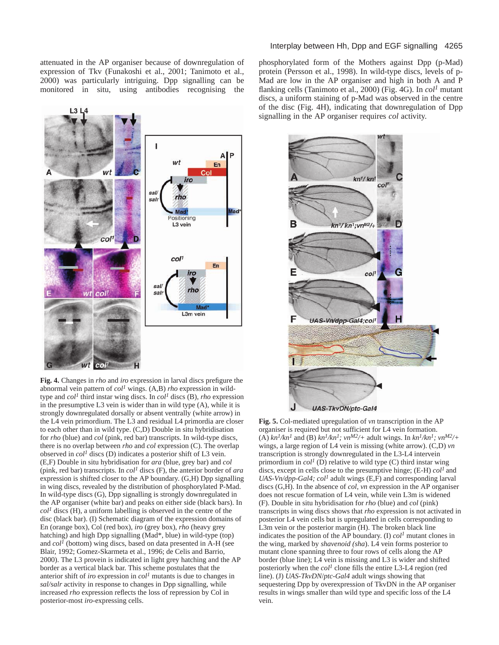attenuated in the AP organiser because of downregulation of expression of Tkv (Funakoshi et al., 2001; Tanimoto et al., 2000) was particularly intriguing. Dpp signalling can be monitored in situ, using antibodies recognising the



**Fig. 4.** Changes in *rho* and *iro* expression in larval discs prefigure the abnormal vein pattern of *col<sup>1</sup>* wings. (A,B) *rho* expression in wildtype and *col<sup>1</sup>* third instar wing discs. In *col<sup>1</sup>* discs (B), *rho* expression in the presumptive L3 vein is wider than in wild type (A), while it is strongly downregulated dorsally or absent ventrally (white arrow) in the L4 vein primordium. The L3 and residual L4 primordia are closer to each other than in wild type. (C,D) Double in situ hybridisation for *rho* (blue) and *col* (pink, red bar) transcripts. In wild-type discs, there is no overlap between *rho* and *col* expression (C). The overlap observed in *col<sup>1</sup>* discs (D) indicates a posterior shift of L3 vein. (E,F) Double in situ hybridisation for *ara* (blue, grey bar) and *col* (pink, red bar) transcripts. In *col<sup>1</sup>* discs (F), the anterior border of *ara* expression is shifted closer to the AP boundary. (G,H) Dpp signalling in wing discs, revealed by the distribution of phosphorylated P-Mad. In wild-type discs (G), Dpp signalling is strongly downregulated in the AP organiser (white bar) and peaks on either side (black bars). In  $col<sup>1</sup>$  discs (H), a uniform labelling is observed in the centre of the disc (black bar). (I) Schematic diagram of the expression domains of En (orange box), Col (red box), *iro* (grey box), *rho* (heavy grey hatching) and high Dpp signalling (Mad\*, blue) in wild-type (top) and  $col^I$  (bottom) wing discs, based on data presented in A-H (see Blair, 1992; Gomez-Skarmeta et al., 1996; de Celis and Barrio, 2000). The L3 provein is indicated in light grey hatching and the AP border as a vertical black bar. This scheme postulates that the anterior shift of *iro* expression in *col<sup>1</sup>* mutants is due to changes in *sal/salr* activity in response to changes in Dpp signalling, while increased *rho* expression reflects the loss of repression by Col in posterior-most *iro*-expressing cells.

#### Interplay between Hh, Dpp and EGF signalling 4265

phosphorylated form of the Mothers against Dpp (p-Mad) protein (Persson et al., 1998). In wild-type discs, levels of p-Mad are low in the AP organiser and high in both A and P flanking cells (Tanimoto et al., 2000) (Fig. 4G). In *col<sup>1</sup>* mutant discs, a uniform staining of p-Mad was observed in the centre of the disc (Fig. 4H), indicating that downregulation of Dpp signalling in the AP organiser requires *col* activity.



**Fig. 5.** Col-mediated upregulation of *vn* transcription in the AP organiser is required but not sufficient for L4 vein formation. (A)  $kn^{1}/kn^{1}$  and (B)  $kn^{1}/kn^{1}$ ;  $vn^{M2}/+$  adult wings. In  $kn^{1}/kn^{1}$ ;  $vn^{M2}/+$ wings, a large region of L4 vein is missing (white arrow). (C,D) *vn* transcription is strongly downregulated in the L3-L4 intervein primordium in  $col^I$  (D) relative to wild type (C) third instar wing discs, except in cells close to the presumptive hinge; (E-H) *col1* and *UAS-Vn/dpp-Gal4; col<sup>1</sup>* adult wings (E,F) and corresponding larval discs (G,H). In the absence of *col*, *vn* expression in the AP organiser does not rescue formation of L4 vein, while vein L3m is widened (F). Double in situ hybridisation for *rho* (blue) and *col* (pink) transcripts in wing discs shows that *rho* expression is not activated in posterior L4 vein cells but is upregulated in cells corresponding to L3m vein or the posterior margin (H). The broken black line indicates the position of the AP boundary. (I)  $col<sup>1</sup>$  mutant clones in the wing, marked by *shavenoid (sha*). L4 vein forms posterior to mutant clone spanning three to four rows of cells along the AP border (blue line); L4 vein is missing and L3 is wider and shifted posteriorly when the  $col<sup>1</sup>$  clone fills the entire L3-L4 region (red line). (J) *UAS-TkvDN*/*ptc-Gal4* adult wings showing that sequestering Dpp by overexpression of TkvDN in the AP organiser results in wings smaller than wild type and specific loss of the L4 vein.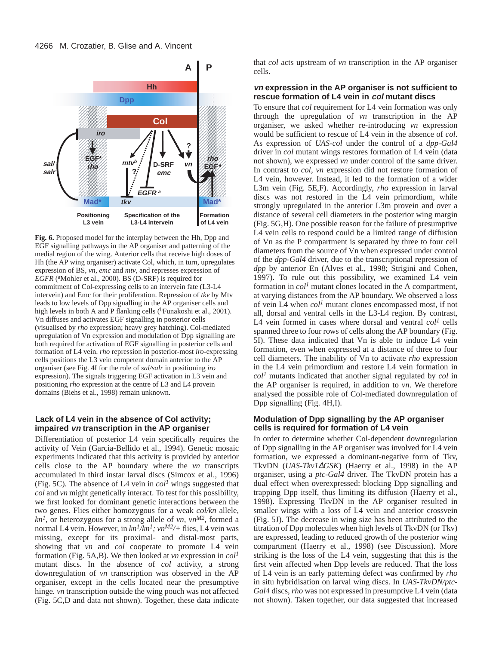

**Fig. 6.** Proposed model for the interplay between the Hh, Dpp and EGF signalling pathways in the AP organiser and patterning of the medial region of the wing. Anterior cells that receive high doses of Hh (the AP wing organiser) activate Col, which, in turn, upregulates expression of BS, *vn*, *emc* and *mtv*, and represses expression of *EGFR* (aMohler et al., 2000). BS (D-SRF) is required for commitment of Col-expressing cells to an intervein fate (L3-L4 intervein) and Emc for their proliferation. Repression of *tkv* by Mtv leads to low levels of Dpp signalling in the AP organiser cells and high levels in both A and P flanking cells (<sup>b</sup>Funakoshi et al., 2001). Vn diffuses and activates EGF signalling in posterior cells (visualised by *rho* expression; heavy grey hatching). Col-mediated upregulation of Vn expression and modulation of Dpp signalling are both required for activation of EGF signalling in posterior cells and formation of L4 vein. *rho* repression in posterior-most *iro*-expressing cells positions the L3 vein competent domain anterior to the AP organiser (see Fig. 4I for the role of *sal/salr* in positioning *iro* expression). The signals triggering EGF activation in L3 vein and positioning *rho* expression at the centre of L3 and L4 provein domains (Biehs et al., 1998) remain unknown.

# **Lack of L4 vein in the absence of Col activity; impaired vn transcription in the AP organiser**

Differentiation of posterior L4 vein specifically requires the activity of Vein (Garcia-Bellido et al., 1994). Genetic mosaic experiments indicated that this activity is provided by anterior cells close to the AP boundary where the *vn* transcripts accumulated in third instar larval discs (Simcox et al., 1996) (Fig. 5C). The absence of L4 vein in  $col<sup>1</sup>$  wings suggested that *col* and *vn* might genetically interact. To test for this possibility, we first looked for dominant genetic interactions between the two genes. Flies either homozygous for a weak *col/kn* allele,  $kn<sup>1</sup>$ , or heterozygous for a strong allele of *vn*, *vn*<sup>*M2*</sup>, formed a normal L4 vein. However, in *kn1/kn1; vnM2/+* flies, L4 vein was missing, except for its proximal- and distal-most parts, showing that *vn* and *col* cooperate to promote L4 vein formation (Fig. 5A,B). We then looked at *vn* expression in *col<sup>1</sup>* mutant discs. In the absence of *col* activity, a strong downregulation of *vn* transcription was observed in the AP organiser, except in the cells located near the presumptive hinge*. vn* transcription outside the wing pouch was not affected (Fig. 5C,D and data not shown). Together, these data indicate

that *col* acts upstream of *vn* transcription in the AP organiser cells.

#### **vn expression in the AP organiser is not sufficient to rescue formation of L4 vein in col mutant discs**

To ensure that *col* requirement for L4 vein formation was only through the upregulation of *vn* transcription in the AP organiser, we asked whether re-introducing *vn* expression would be sufficient to rescue of L4 vein in the absence of *col*. As expression of *UAS-col* under the control of a *dpp-Gal4* driver in *col* mutant wings restores formation of L4 vein (data not shown), we expressed *vn* under control of the same driver. In contrast to *col*, *vn* expression did not restore formation of L4 vein, however. Instead, it led to the formation of a wider L3m vein (Fig. 5E,F). Accordingly, *rho* expression in larval discs was not restored in the L4 vein primordium, while strongly upregulated in the anterior L3m provein and over a distance of several cell diameters in the posterior wing margin (Fig. 5G,H). One possible reason for the failure of presumptive L4 vein cells to respond could be a limited range of diffusion of Vn as the P compartment is separated by three to four cell diameters from the source of Vn when expressed under control of the *dpp-Gal4* driver, due to the transcriptional repression of *dpp* by anterior En (Alves et al., 1998; Strigini and Cohen, 1997). To rule out this possibility, we examined L4 vein formation in  $col<sup>1</sup>$  mutant clones located in the A compartment, at varying distances from the AP boundary. We observed a loss of vein L4 when *col<sup>1</sup>* mutant clones encompassed most, if not all, dorsal and ventral cells in the L3-L4 region. By contrast, L4 vein formed in cases where dorsal and ventral *col<sup>1</sup>* cells spanned three to four rows of cells along the AP boundary (Fig. 5I). These data indicated that Vn is able to induce L4 vein formation, even when expressed at a distance of three to four cell diameters. The inability of Vn to activate *rho* expression in the L4 vein primordium and restore L4 vein formation in *col<sup>1</sup>* mutants indicated that another signal regulated by *col* in the AP organiser is required, in addition to *vn*. We therefore analysed the possible role of Col-mediated downregulation of Dpp signalling (Fig. 4H,I).

#### **Modulation of Dpp signalling by the AP organiser cells is required for formation of L4 vein**

In order to determine whether Col-dependent downregulation of Dpp signalling in the AP organiser was involved for L4 vein formation, we expressed a dominant-negative form of Tkv, TkvDN (*UAS-Tkv1*∆*GSK*) (Haerry et al., 1998) in the AP organiser, using a *ptc-Gal4* driver. The TkvDN protein has a dual effect when overexpressed: blocking Dpp signalling and trapping Dpp itself, thus limiting its diffusion (Haerry et al., 1998). Expressing TkvDN in the AP organiser resulted in smaller wings with a loss of L4 vein and anterior crossvein (Fig. 5J). The decrease in wing size has been attributed to the titration of Dpp molecules when high levels of TkvDN (or Tkv) are expressed, leading to reduced growth of the posterior wing compartment (Haerry et al., 1998) (see Discussion). More striking is the loss of the L4 vein, suggesting that this is the first vein affected when Dpp levels are reduced. That the loss of L4 vein is an early patterning defect was confirmed by *rho* in situ hybridisation on larval wing discs. In *UAS-TkvDN/ptc-Gal4* discs, *rho* was not expressed in presumptive L4 vein (data not shown). Taken together, our data suggested that increased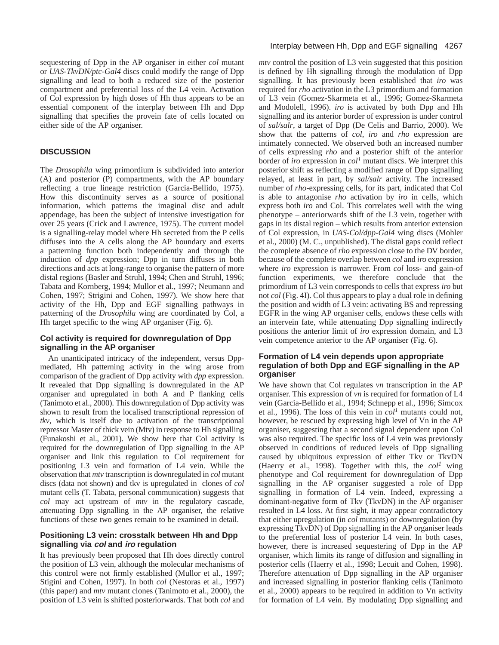sequestering of Dpp in the AP organiser in either *col* mutant or *UAS-TkvDN/ptc-Gal4* discs could modify the range of Dpp signalling and lead to both a reduced size of the posterior compartment and preferential loss of the L4 vein. Activation of Col expression by high doses of Hh thus appears to be an essential component of the interplay between Hh and Dpp signalling that specifies the provein fate of cells located on either side of the AP organiser.

# **DISCUSSION**

The *Drosophila* wing primordium is subdivided into anterior (A) and posterior (P) compartments, with the AP boundary reflecting a true lineage restriction (Garcia-Bellido, 1975). How this discontinuity serves as a source of positional information, which patterns the imaginal disc and adult appendage, has been the subject of intensive investigation for over 25 years (Crick and Lawrence, 1975). The current model is a signalling-relay model where Hh secreted from the P cells diffuses into the A cells along the AP boundary and exerts a patterning function both independently and through the induction of *dpp* expression; Dpp in turn diffuses in both directions and acts at long-range to organise the pattern of more distal regions (Basler and Struhl, 1994; Chen and Struhl, 1996; Tabata and Kornberg, 1994; Mullor et al., 1997; Neumann and Cohen, 1997; Strigini and Cohen, 1997). We show here that activity of the Hh, Dpp and EGF signalling pathways in patterning of the *Drosophila* wing are coordinated by Col, a Hh target specific to the wing AP organiser (Fig. 6).

## **Col activity is required for downregulation of Dpp signalling in the AP organiser**

An unanticipated intricacy of the independent, versus Dppmediated, Hh patterning activity in the wing arose from comparison of the gradient of Dpp activity with *dpp* expression. It revealed that Dpp signalling is downregulated in the AP organiser and upregulated in both A and P flanking cells (Tanimoto et al., 2000). This downregulation of Dpp activity was shown to result from the localised transcriptional repression of *tkv*, which is itself due to activation of the transcriptional repressor Master of thick vein (Mtv) in response to Hh signalling (Funakoshi et al., 2001). We show here that Col activity is required for the downregulation of Dpp signalling in the AP organiser and link this regulation to Col requirement for positioning L3 vein and formation of L4 vein. While the observation that *mtv* transcription is downregulated in *col* mutant discs (data not shown) and tkv is upregulated in clones of *col* mutant cells (T. Tabata, personal communication) suggests that *col* may act upstream of *mtv* in the regulatory cascade, attenuating Dpp signalling in the AP organiser, the relative functions of these two genes remain to be examined in detail.

## **Positioning L3 vein: crosstalk between Hh and Dpp signalling via col and iro regulation**

It has previously been proposed that Hh does directly control the position of L3 vein, although the molecular mechanisms of this control were not firmly established (Mullor et al., 1997; Stigini and Cohen, 1997). In both *col* (Nestoras et al., 1997) (this paper) and *mtv* mutant clones (Tanimoto et al., 2000), the position of L3 vein is shifted posteriorwards. That both *col* and *mtv* control the position of L3 vein suggested that this position is defined by Hh signalling through the modulation of Dpp signalling. It has previously been established that *iro* was required for *rho* activation in the L3 primordium and formation of L3 vein (Gomez-Skarmeta et al., 1996; Gomez-Skarmeta and Modolell, 1996). *iro* is activated by both Dpp and Hh signalling and its anterior border of expression is under control of *sal/salr*, a target of Dpp (De Celis and Barrio, 2000). We show that the patterns of *col*, *iro* and *rho* expression are intimately connected. We observed both an increased number of cells expressing *rho* and a posterior shift of the anterior border of *iro* expression in *col<sup>1</sup>* mutant discs. We interpret this posterior shift as reflecting a modified range of Dpp signalling relayed, at least in part, by *sal/salr* activity. The increased number of *rho*-expressing cells, for its part, indicated that Col is able to antagonise *rho* activation by *iro* in cells, which express both *iro* and Col. This correlates well with the wing phenotype – anteriorwards shift of the L3 vein, together with gaps in its distal region – which results from anterior extension of Col expression, in *UAS-Col/dpp-Gal4* wing discs (Mohler et al., 2000) (M. C., unpublished). The distal gaps could reflect the complete absence of *rho* expression close to the DV border, because of the complete overlap between *col* and *iro* expression where *iro* expression is narrower. From *col* loss- and gain-of function experiments, we therefore conclude that the primordium of L3 vein corresponds to cells that express *iro* but not *col* (Fig. 4I). Col thus appears to play a dual role in defining the position and width of L3 vein: activating BS and repressing EGFR in the wing AP organiser cells, endows these cells with an intervein fate, while attenuating Dpp signalling indirectly positions the anterior limit of *iro* expression domain, and L3 vein competence anterior to the AP organiser (Fig. 6).

# **Formation of L4 vein depends upon appropriate regulation of both Dpp and EGF signalling in the AP organiser**

We have shown that Col regulates *vn* transcription in the AP organiser. This expression of *vn* is required for formation of L4 vein (Garcia-Bellido et al., 1994; Schnepp et al., 1996; Simcox et al., 1996). The loss of this vein in  $col<sup>1</sup>$  mutants could not, however, be rescued by expressing high level of Vn in the AP organiser, suggesting that a second signal dependent upon Col was also required. The specific loss of L4 vein was previously observed in conditions of reduced levels of Dpp signalling caused by ubiquitous expression of either Tkv or TkvDN (Haerry et al., 1998). Together with this, the *col<sup>1</sup>* wing phenotype and Col requirement for downregulation of Dpp signalling in the AP organiser suggested a role of Dpp signalling in formation of L4 vein. Indeed, expressing a dominant-negative form of Tkv (TkvDN) in the AP organiser resulted in L4 loss. At first sight, it may appear contradictory that either upregulation (in *col* mutants) or downregulation (by expressing TkvDN) of Dpp signalling in the AP organiser leads to the preferential loss of posterior L4 vein. In both cases, however, there is increased sequestering of Dpp in the AP organiser, which limits its range of diffusion and signalling in posterior cells (Haerry et al., 1998; Lecuit and Cohen, 1998). Therefore attenuation of Dpp signalling in the AP organiser and increased signalling in posterior flanking cells (Tanimoto et al., 2000) appears to be required in addition to Vn activity for formation of L4 vein. By modulating Dpp signalling and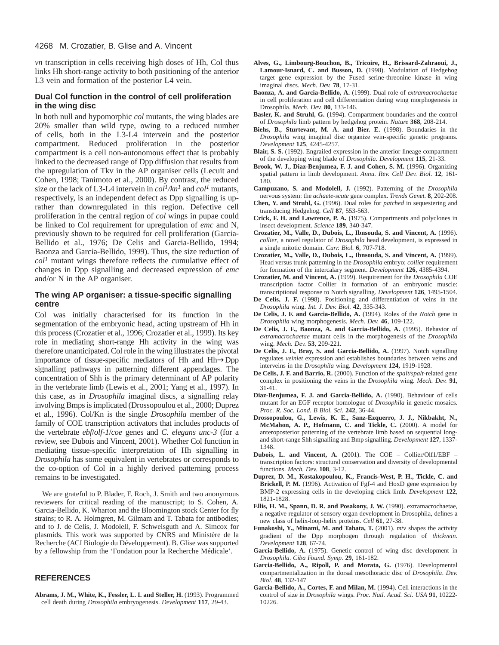*vn* transcription in cells receiving high doses of Hh, Col thus links Hh short-range activity to both positioning of the anterior L3 vein and formation of the posterior L4 vein.

#### **Dual Col function in the control of cell proliferation in the wing disc**

In both null and hypomorphic *col* mutants, the wing blades are 20% smaller than wild type, owing to a reduced number of cells, both in the L3-L4 intervein and the posterior compartment. Reduced proliferation in the posterior compartment is a cell non-autonomous effect that is probably linked to the decreased range of Dpp diffusion that results from the upregulation of Tkv in the AP organiser cells (Lecuit and Cohen, 1998; Tanimoto et al., 2000). By contrast, the reduced size or the lack of L3-L4 intervein in  $col<sup>1</sup>/kn<sup>1</sup>$  and  $col<sup>1</sup>$  mutants, respectively, is an independent defect as Dpp signalling is uprather than downregulated in this region. Defective cell proliferation in the central region of *col* wings in pupae could be linked to Col requirement for upregulation of *emc* and N, previously shown to be required for cell proliferation (Garcia-Bellido et al., 1976; De Celis and Garcia-Bellido, 1994; Baonza and Garcia-Bellido, 1999). Thus, the size reduction of  $col<sup>1</sup>$  mutant wings therefore reflects the cumulative effect of changes in Dpp signalling and decreased expression of *emc* and/or N in the AP organiser.

# **The wing AP organiser: a tissue-specific signalling centre**

Col was initially characterised for its function in the segmentation of the embryonic head, acting upstream of Hh in this process (Crozatier et al., 1996; Crozatier et al., 1999). Its key role in mediating short-range Hh activity in the wing was therefore unanticipated. Col role in the wing illustrates the pivotal importance of tissue-specific mediators of Hh and Hh→Dpp signalling pathways in patterning different appendages. The concentration of Shh is the primary determinant of AP polarity in the vertebrate limb (Lewis et al., 2001; Yang et al., 1997). In this case, as in *Drosophila* imaginal discs, a signalling relay involving Bmps is implicated (Drossopoulou et al., 2000; Duprez et al., 1996). Col/Kn is the single *Drosophila* member of the family of COE transcription activators that includes products of the vertebrate *ebf*/*olf-1*/*coe* genes and *C. elegans unc-3* (for a review, see Dubois and Vincent, 2001). Whether Col function in mediating tissue-specific interpretation of Hh signalling in *Drosophila* has some equivalent in vertebrates or corresponds to the co-option of Col in a highly derived patterning process remains to be investigated.

We are grateful to P. Blader, F. Roch, J. Smith and two anonymous reviewers for critical reading of the manuscript; to S. Cohen, A. Garcia-Bellido, K. Wharton and the Bloomington stock Center for fly strains; to R. A. Holmgren, M. Gilmam and T. Tabata for antibodies; and to J. de Celis, J. Modolell, F. Schweisguth and A. Simcox for plasmids. This work was supported by CNRS and Ministère de la Recherche (ACI Biologie du Développement). B. Glise was supported by a fellowship from the 'Fondation pour la Recherche Médicale'.

#### **REFERENCES**

**Abrams, J. M., White, K., Fessler, L. I. and Steller, H.** (1993). Programmed cell death during *Drosophila* embryogenesis. *Development* **117**, 29-43.

- **Alves, G., Limbourg-Bouchon, B., Tricoire, H., Brissard-Zahraoui, J., Lamour-Isnard, C. and Busson, D.** (1998). Modulation of Hedgehog target gene expression by the Fused serine-threonine kinase in wing imaginal discs. *Mech. Dev.* **78**, 17-31.
- **Baonza, A. and Garcia-Bellido, A.** (1999). Dual role of *extramacrochaetae* in cell proliferation and cell differentiation during wing morphogenesis in Drosophila. *Mech. Dev.* **80**, 133-146.
- **Basler, K. and Struhl, G.** (1994). Compartment boundaries and the control of *Drosophila* limb pattern by hedgehog protein. *Nature* **368**, 208-214.
- **Biehs, B., Sturtevant, M. A. and Bier. E.** (1998). Boundaries in the *Drosophila* wing imaginal disc organize vein-specific genetic programs. *Development* **125**, 4245-4257.
- **Blair, S. S.** (1992). Engrailed expression in the anterior lineage compartment of the developing wing blade of *Drosophila*. *Development* **115**, 21-33.
- **Brook, W. J., Diaz-Benjumea, F. J. and Cohen, S. M.** (1996). Organizing spatial pattern in limb development. *Annu. Rev. Cell Dev. Biol.* **12**, 161- 180.
- **Campuzano, S. and Modolell, J.** (1992). Patterning of the *Drosophila* nervous system: the *achaete-scute* gene complex. *Trends Genet.* **8**, 202-208.
- **Chen, Y. and Struhl, G.** (1996). Dual roles for *patched* in sequestering and transducing Hedgehog. *Cell* **87**, 553-563.
- **Crick, F. H. and Lawrence, P. A.** (1975). Compartments and polyclones in insect development. *Science* **189**, 340-347.
- **Crozatier, M., Valle, D., Dubois, L., Ibnsouda, S. and Vincent, A.** (1996). *collier*, a novel regulator of *Drosophila* head development, is expressed in a single mitotic domain. *Curr. Biol.* **6**, 707-718.
- **Crozatier, M., Valle, D., Dubois, L., Ibnsouda, S. and Vincent, A.** (1999). Head versus trunk patterning in the *Drosophila* embryo; *collier* requirement for formation of the intercalary segment. *Development* **126**, 4385-4394.
- **Crozatier, M. and Vincent, A.** (1999). Requirement for the *Drosophila* COE transcription factor Collier in formation of an embryonic muscle: transcriptional response to Notch signalling. *Development* **126**, 1495-1504.
- **De Celis, J. F.** (1998). Positioning and differentiation of veins in the *Drosophila* wing. *Int. J. Dev. Biol.* **42**, 335-343.
- **De Celis, J. F. and Garcia-Bellido, A.** (1994). Roles of the *Notch* gene in *Drosophila* wing morphogenesis. *Mech. Dev.* **46**, 109-122.
- **De Celis, J. F., Baonza, A. and Garcia-Bellido, A.** (1995). Behavior of *extramacrochaetae* mutant cells in the morphogenesis of the *Drosophila* wing. *Mech. Dev.* **53**, 209-221.
- **De Celis, J. F., Bray, S. and Garcia-Bellido, A.** (1997). Notch signalling regulates *veinlet* expression and establishes boundaries between veins and interveins in the *Drosophila* wing. *Development* **124,** 1919-1928.
- **De Celis, J. F. and Barrio, R.** (2000). Function of the *spalt/spalt*-related gene complex in positioning the veins in the *Drosophila* wing. *Mech. Dev.* **91**, 31-41.
- **Diaz-Benjumea, F. J. and Garcia-Bellido, A.** (1990). Behaviour of cells mutant for an EGF receptor homologue of *Drosophila* in genetic mosaics. *Proc. R. Soc. Lond. B Biol. Sci.* **242**, 36-44.
- **Drossopoulou, G., Lewis, K. E., Sanz-Ezquerro, J. J., Nikbakht, N., McMahon, A. P., Hofmann, C. and Tickle, C.** (2000). A model for anteroposterior patterning of the vertebrate limb based on sequential longand short-range Shh signalling and Bmp signalling. *Development* **127**, 1337- 1348.
- **Dubois, L. and Vincent, A.** (2001). The COE Collier/Olf1/EBF transcription factors: structural conservation and diversity of developmental functions. *Mech. Dev.* **108**, 3-12.
- **Duprez, D. M., Kostakopoulou, K., Francis-West, P. H., Tickle, C. and Brickell, P. M.** (1996). Activation of Fgf-4 and HoxD gene expression by BMP-2 expressing cells in the developing chick limb. *Development* **122**, 1821-1828.
- **Ellis, H. M., Spann, D. R. and Posakony, J. W.** (1990). extramacrochaetae, a negative regulator of sensory organ development in Drosophila, defines a new class of helix-loop-helix proteins. *Cell* **61**, 27-38.
- **Funakoshi, Y., Minami, M. and Tabata, T.** (2001). *mtv* shapes the activity gradient of the Dpp morphogen through regulation of *thickvein*. *Development* **128**, 67-74.
- **Garcia-Bellido, A.** (1975). Genetic control of wing disc development in *Drosophila*. *Ciba Found. Symp.* **29**, 161-182.
- **Garcia-Bellido, A., Ripoll, P. and Morata, G.** (1976). Developmental compartmentalization in the dorsal mesothoracic disc of *Drosophila*. *Dev. Biol.* **48**, 132-147
- **Garcia-Bellido, A., Cortes, F. and Milan, M.** (1994). Cell interactions in the control of size in *Drosophila* wings. *Proc. Natl. Acad. Sci. USA* **91**, 10222- 10226.